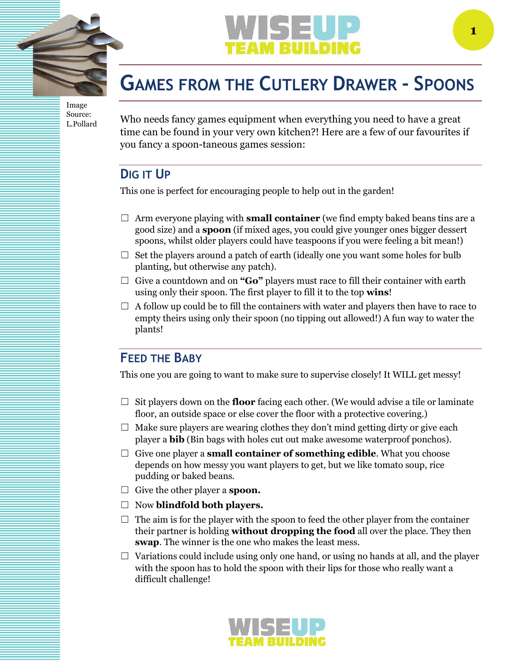

Image Source: L.Pollard



# **GAMES FROM THE CUTLERY DRAWER - SPOONS**

Who needs fancy games equipment when everything you need to have a great time can be found in your very own kitchen?! Here are a few of our favourites if you fancy a spoon-taneous games session:

## **DIG IT UP**

This one is perfect for encouraging people to help out in the garden!

- ☐ Arm everyone playing with **small container** (we find empty baked beans tins are a good size) and a **spoon** (if mixed ages, you could give younger ones bigger dessert spoons, whilst older players could have teaspoons if you were feeling a bit mean!)
- $\Box$  Set the players around a patch of earth (ideally one you want some holes for bulb planting, but otherwise any patch).
- ☐ Give a countdown and on **"Go"** players must race to fill their container with earth using only their spoon. The first player to fill it to the top **wins**!
- $\Box$  A follow up could be to fill the containers with water and players then have to race to empty theirs using only their spoon (no tipping out allowed!) A fun way to water the plants!

#### **FEED THE BABY**

This one you are going to want to make sure to supervise closely! It WILL get messy!

- ☐ Sit players down on the **floor** facing each other. (We would advise a tile or laminate floor, an outside space or else cover the floor with a protective covering.)
- $\Box$  Make sure players are wearing clothes they don't mind getting dirty or give each player a **bib** (Bin bags with holes cut out make awesome waterproof ponchos).
- ☐ Give one player a **small container of something edible**. What you choose depends on how messy you want players to get, but we like tomato soup, rice pudding or baked beans.
- ☐ Give the other player a **spoon.**
- ☐ Now **blindfold both players.**
- $\Box$  The aim is for the player with the spoon to feed the other player from the container their partner is holding **without dropping the food** all over the place. They then **swap**. The winner is the one who makes the least mess.
- $\Box$  Variations could include using only one hand, or using no hands at all, and the player with the spoon has to hold the spoon with their lips for those who really want a difficult challenge!